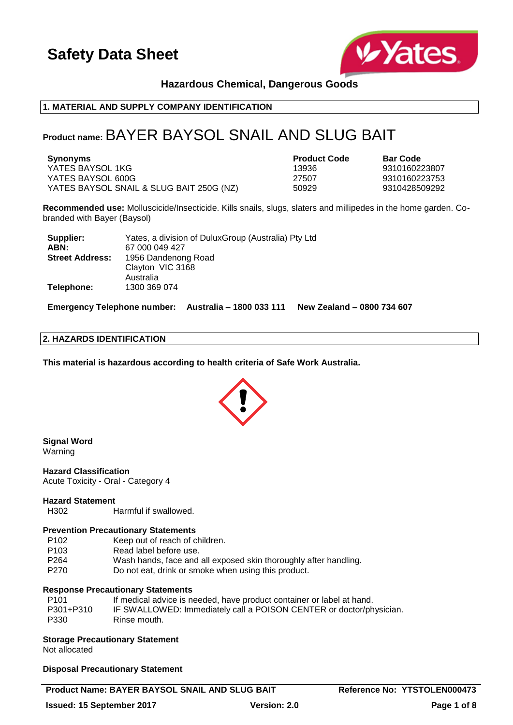

# **Hazardous Chemical, Dangerous Goods**

# **1. MATERIAL AND SUPPLY COMPANY IDENTIFICATION**

# **Product name:** BAYER BAYSOL SNAIL AND SLUG BAIT

| Synonyms                                 | <b>Product Code</b> | <b>Bar Code</b> |
|------------------------------------------|---------------------|-----------------|
| YATES BAYSOL 1KG                         | 13936               | 9310160223807   |
| YATES BAYSOL 600G                        | 27507               | 9310160223753   |
| YATES BAYSOL SNAIL & SLUG BAIT 250G (NZ) | 50929               | 9310428509292   |

**Recommended use:** Molluscicide/Insecticide. Kills snails, slugs, slaters and millipedes in the home garden. Cobranded with Bayer (Baysol)

| Supplier:              | Yates, a division of DuluxGroup (Australia) Pty Ltd |
|------------------------|-----------------------------------------------------|
| ABN:                   | 67 000 049 427                                      |
| <b>Street Address:</b> | 1956 Dandenong Road                                 |
|                        | Clayton VIC 3168                                    |
|                        | Australia                                           |
| Telephone:             | 1300 369 074                                        |

**Emergency Telephone number: Australia – 1800 033 111 New Zealand – 0800 734 607**

### **2. HAZARDS IDENTIFICATION**

**This material is hazardous according to health criteria of Safe Work Australia.**



# **Signal Word**

Warning

**Hazard Classification** Acute Toxicity - Oral - Category 4

#### **Hazard Statement**

H302 Harmful if swallowed.

### **Prevention Precautionary Statements**

| P <sub>102</sub> | Keep out of reach of children.                                   |
|------------------|------------------------------------------------------------------|
| P <sub>103</sub> | Read label before use.                                           |
| P <sub>264</sub> | Wash hands, face and all exposed skin thoroughly after handling. |
| P270             | Do not eat, drink or smoke when using this product.              |
|                  |                                                                  |

### **Response Precautionary Statements**

| P101      | If medical advice is needed, have product container or label at hand. |
|-----------|-----------------------------------------------------------------------|
| P301+P310 | IF SWALLOWED: Immediately call a POISON CENTER or doctor/physician.   |
| P330      | Rinse mouth.                                                          |

**Storage Precautionary Statement**

Not allocated

#### **Disposal Precautionary Statement**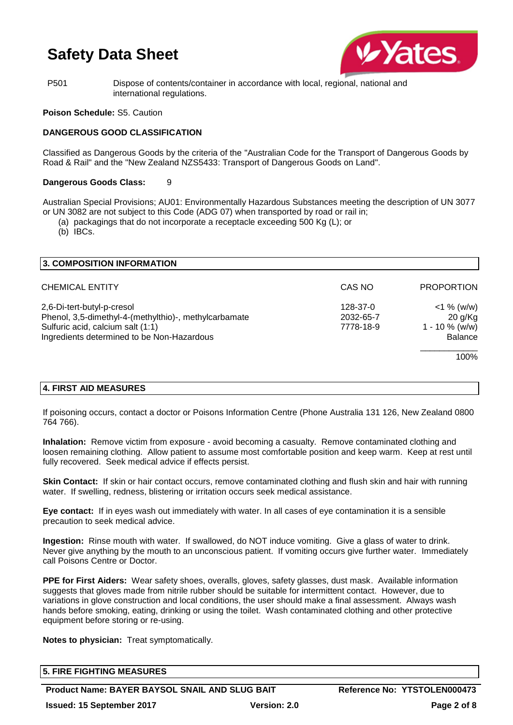

P501 Dispose of contents/container in accordance with local, regional, national and international regulations.

### **Poison Schedule:** S5. Caution

# **DANGEROUS GOOD CLASSIFICATION**

Classified as Dangerous Goods by the criteria of the "Australian Code for the Transport of Dangerous Goods by Road & Rail" and the "New Zealand NZS5433: Transport of Dangerous Goods on Land".

### **Dangerous Goods Class:** 9

Australian Special Provisions; AU01: Environmentally Hazardous Substances meeting the description of UN 3077 or UN 3082 are not subject to this Code (ADG 07) when transported by road or rail in;

(a) packagings that do not incorporate a receptacle exceeding 500 Kg (L); or

(b) IBCs.

| 3. COMPOSITION INFORMATION                                                                                                                                             |                                    |                                                          |
|------------------------------------------------------------------------------------------------------------------------------------------------------------------------|------------------------------------|----------------------------------------------------------|
| <b>CHEMICAL ENTITY</b>                                                                                                                                                 | CAS NO                             | <b>PROPORTION</b>                                        |
| 2,6-Di-tert-butyl-p-cresol<br>Phenol, 3,5-dimethyl-4-(methylthio)-, methylcarbamate<br>Sulfuric acid, calcium salt (1:1)<br>Ingredients determined to be Non-Hazardous | 128-37-0<br>2032-65-7<br>7778-18-9 | $<$ 1 % (w/w)<br>20 g/Kg<br>$1 - 10 \%$ (w/w)<br>Balance |
|                                                                                                                                                                        |                                    | 100%                                                     |

# **4. FIRST AID MEASURES**

If poisoning occurs, contact a doctor or Poisons Information Centre (Phone Australia 131 126, New Zealand 0800 764 766).

**Inhalation:** Remove victim from exposure - avoid becoming a casualty. Remove contaminated clothing and loosen remaining clothing. Allow patient to assume most comfortable position and keep warm. Keep at rest until fully recovered. Seek medical advice if effects persist.

**Skin Contact:** If skin or hair contact occurs, remove contaminated clothing and flush skin and hair with running water. If swelling, redness, blistering or irritation occurs seek medical assistance.

**Eye contact:** If in eyes wash out immediately with water. In all cases of eye contamination it is a sensible precaution to seek medical advice.

**Ingestion:** Rinse mouth with water. If swallowed, do NOT induce vomiting. Give a glass of water to drink. Never give anything by the mouth to an unconscious patient. If vomiting occurs give further water. Immediately call Poisons Centre or Doctor.

**PPE for First Aiders:** Wear safety shoes, overalls, gloves, safety glasses, dust mask. Available information suggests that gloves made from nitrile rubber should be suitable for intermittent contact. However, due to variations in glove construction and local conditions, the user should make a final assessment. Always wash hands before smoking, eating, drinking or using the toilet. Wash contaminated clothing and other protective equipment before storing or re-using.

**Notes to physician:** Treat symptomatically.

| <b>5. FIRE FIGHTING MEASURES</b> |  |
|----------------------------------|--|
|                                  |  |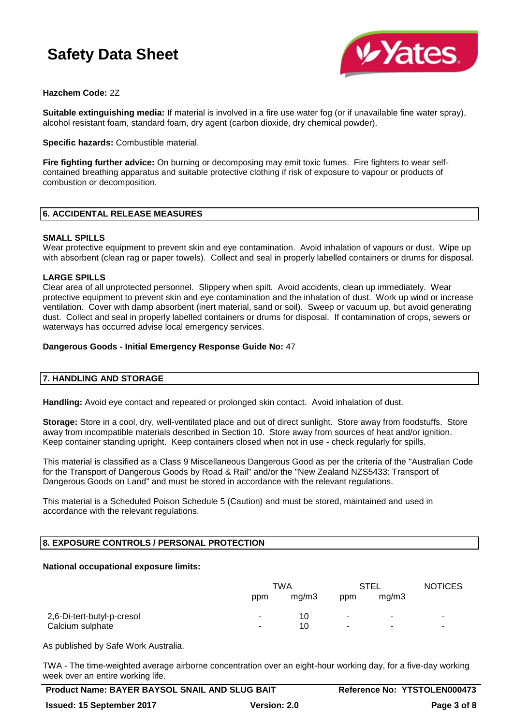

# **Hazchem Code:** 2Z

**Suitable extinguishing media:** If material is involved in a fire use water fog (or if unavailable fine water spray), alcohol resistant foam, standard foam, dry agent (carbon dioxide, dry chemical powder).

**Specific hazards:** Combustible material.

**Fire fighting further advice:** On burning or decomposing may emit toxic fumes. Fire fighters to wear selfcontained breathing apparatus and suitable protective clothing if risk of exposure to vapour or products of combustion or decomposition.

# **6. ACCIDENTAL RELEASE MEASURES**

### **SMALL SPILLS**

Wear protective equipment to prevent skin and eye contamination. Avoid inhalation of vapours or dust. Wipe up with absorbent (clean rag or paper towels). Collect and seal in properly labelled containers or drums for disposal.

### **LARGE SPILLS**

Clear area of all unprotected personnel. Slippery when spilt. Avoid accidents, clean up immediately. Wear protective equipment to prevent skin and eye contamination and the inhalation of dust. Work up wind or increase ventilation. Cover with damp absorbent (inert material, sand or soil). Sweep or vacuum up, but avoid generating dust. Collect and seal in properly labelled containers or drums for disposal. If contamination of crops, sewers or waterways has occurred advise local emergency services.

### **Dangerous Goods - Initial Emergency Response Guide No:** 47

### **7. HANDLING AND STORAGE**

**Handling:** Avoid eye contact and repeated or prolonged skin contact. Avoid inhalation of dust.

**Storage:** Store in a cool, dry, well-ventilated place and out of direct sunlight. Store away from foodstuffs. Store away from incompatible materials described in Section 10. Store away from sources of heat and/or ignition. Keep container standing upright. Keep containers closed when not in use - check regularly for spills.

This material is classified as a Class 9 Miscellaneous Dangerous Good as per the criteria of the "Australian Code for the Transport of Dangerous Goods by Road & Rail" and/or the "New Zealand NZS5433: Transport of Dangerous Goods on Land" and must be stored in accordance with the relevant regulations.

This material is a Scheduled Poison Schedule 5 (Caution) and must be stored, maintained and used in accordance with the relevant regulations.

### **8. EXPOSURE CONTROLS / PERSONAL PROTECTION**

#### **National occupational exposure limits:**

|                            | TWA |       | STEL                     |                | <b>NOTICES</b> |
|----------------------------|-----|-------|--------------------------|----------------|----------------|
|                            | ppm | mg/m3 | ppm                      | mg/m3          |                |
| 2,6-Di-tert-butyl-p-cresol | ۰   | 10    | $\blacksquare$           | ۰              | ٠              |
| Calcium sulphate           | ۰   | 10    | $\overline{\phantom{a}}$ | $\blacksquare$ | $\blacksquare$ |

As published by Safe Work Australia.

TWA - The time-weighted average airborne concentration over an eight-hour working day, for a five-day working week over an entire working life.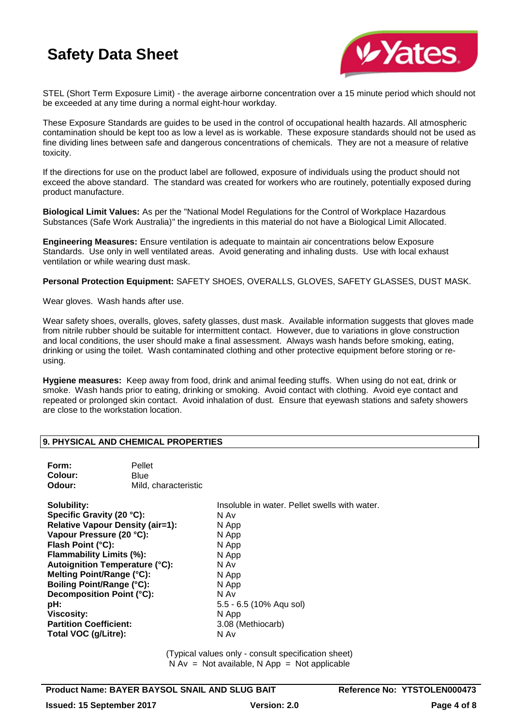

STEL (Short Term Exposure Limit) - the average airborne concentration over a 15 minute period which should not be exceeded at any time during a normal eight-hour workday.

These Exposure Standards are guides to be used in the control of occupational health hazards. All atmospheric contamination should be kept too as low a level as is workable. These exposure standards should not be used as fine dividing lines between safe and dangerous concentrations of chemicals. They are not a measure of relative toxicity.

If the directions for use on the product label are followed, exposure of individuals using the product should not exceed the above standard. The standard was created for workers who are routinely, potentially exposed during product manufacture.

**Biological Limit Values:** As per the "National Model Regulations for the Control of Workplace Hazardous Substances (Safe Work Australia)" the ingredients in this material do not have a Biological Limit Allocated.

**Engineering Measures:** Ensure ventilation is adequate to maintain air concentrations below Exposure Standards. Use only in well ventilated areas. Avoid generating and inhaling dusts. Use with local exhaust ventilation or while wearing dust mask.

**Personal Protection Equipment:** SAFETY SHOES, OVERALLS, GLOVES, SAFETY GLASSES, DUST MASK.

Wear gloves. Wash hands after use.

Wear safety shoes, overalls, gloves, safety glasses, dust mask. Available information suggests that gloves made from nitrile rubber should be suitable for intermittent contact. However, due to variations in glove construction and local conditions, the user should make a final assessment. Always wash hands before smoking, eating, drinking or using the toilet. Wash contaminated clothing and other protective equipment before storing or reusing.

**Hygiene measures:** Keep away from food, drink and animal feeding stuffs. When using do not eat, drink or smoke. Wash hands prior to eating, drinking or smoking. Avoid contact with clothing. Avoid eye contact and repeated or prolonged skin contact. Avoid inhalation of dust. Ensure that eyewash stations and safety showers are close to the workstation location.

### **9. PHYSICAL AND CHEMICAL PROPERTIES**

| Form:<br>Colour:<br>Odour:              | Pellet<br>Blue<br>Mild, characteristic |                                               |  |  |  |
|-----------------------------------------|----------------------------------------|-----------------------------------------------|--|--|--|
| <b>Solubility:</b>                      |                                        | Insoluble in water. Pellet swells with water. |  |  |  |
| Specific Gravity (20 °C):               |                                        | N Av                                          |  |  |  |
| <b>Relative Vapour Density (air=1):</b> |                                        | N App                                         |  |  |  |
| Vapour Pressure (20 °C):                |                                        | N App                                         |  |  |  |
| Flash Point (°C):                       |                                        | N App                                         |  |  |  |
| Flammability Limits (%):                |                                        | N App                                         |  |  |  |
| Autoignition Temperature (°C):          |                                        | N Av                                          |  |  |  |
| Melting Point/Range (°C):               |                                        | N App                                         |  |  |  |
| <b>Boiling Point/Range (°C):</b>        |                                        | N App                                         |  |  |  |
| Decomposition Point (°C):               |                                        | N Av                                          |  |  |  |
| pH:                                     |                                        | 5.5 - 6.5 (10% Agu sol)                       |  |  |  |
| <b>Viscosity:</b>                       |                                        | N App                                         |  |  |  |
| <b>Partition Coefficient:</b>           |                                        | 3.08 (Methiocarb)                             |  |  |  |
| Total VOC (g/Litre):                    |                                        | N Av                                          |  |  |  |

(Typical values only - consult specification sheet)  $N Av = Not available, N App = Not applicable$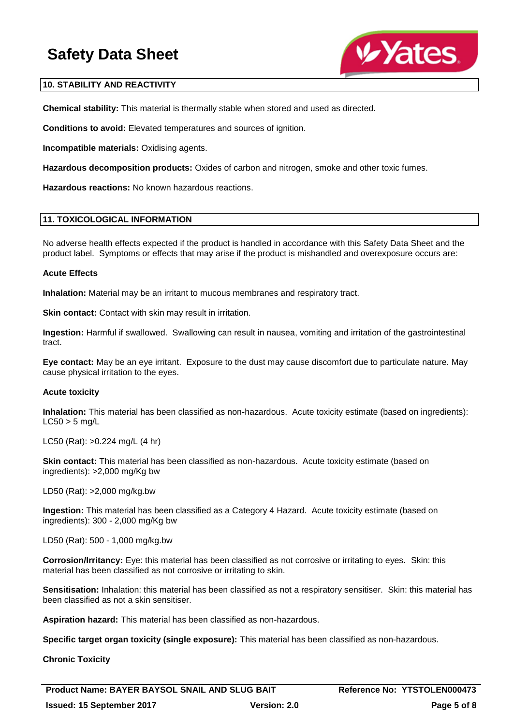

### **10. STABILITY AND REACTIVITY**

**Chemical stability:** This material is thermally stable when stored and used as directed.

**Conditions to avoid:** Elevated temperatures and sources of ignition.

**Incompatible materials:** Oxidising agents.

**Hazardous decomposition products:** Oxides of carbon and nitrogen, smoke and other toxic fumes.

**Hazardous reactions:** No known hazardous reactions.

### **11. TOXICOLOGICAL INFORMATION**

No adverse health effects expected if the product is handled in accordance with this Safety Data Sheet and the product label. Symptoms or effects that may arise if the product is mishandled and overexposure occurs are:

#### **Acute Effects**

**Inhalation:** Material may be an irritant to mucous membranes and respiratory tract.

**Skin contact:** Contact with skin may result in irritation.

**Ingestion:** Harmful if swallowed. Swallowing can result in nausea, vomiting and irritation of the gastrointestinal tract.

**Eye contact:** May be an eye irritant. Exposure to the dust may cause discomfort due to particulate nature. May cause physical irritation to the eyes.

#### **Acute toxicity**

**Inhalation:** This material has been classified as non-hazardous. Acute toxicity estimate (based on ingredients):  $LC50 > 5$  mg/L

LC50 (Rat): >0.224 mg/L (4 hr)

**Skin contact:** This material has been classified as non-hazardous. Acute toxicity estimate (based on ingredients): >2,000 mg/Kg bw

LD50 (Rat): >2,000 mg/kg.bw

**Ingestion:** This material has been classified as a Category 4 Hazard. Acute toxicity estimate (based on ingredients): 300 - 2,000 mg/Kg bw

LD50 (Rat): 500 - 1,000 mg/kg.bw

**Corrosion/Irritancy:** Eye: this material has been classified as not corrosive or irritating to eyes. Skin: this material has been classified as not corrosive or irritating to skin.

**Sensitisation:** Inhalation: this material has been classified as not a respiratory sensitiser. Skin: this material has been classified as not a skin sensitiser.

**Aspiration hazard:** This material has been classified as non-hazardous.

**Specific target organ toxicity (single exposure):** This material has been classified as non-hazardous.

**Chronic Toxicity**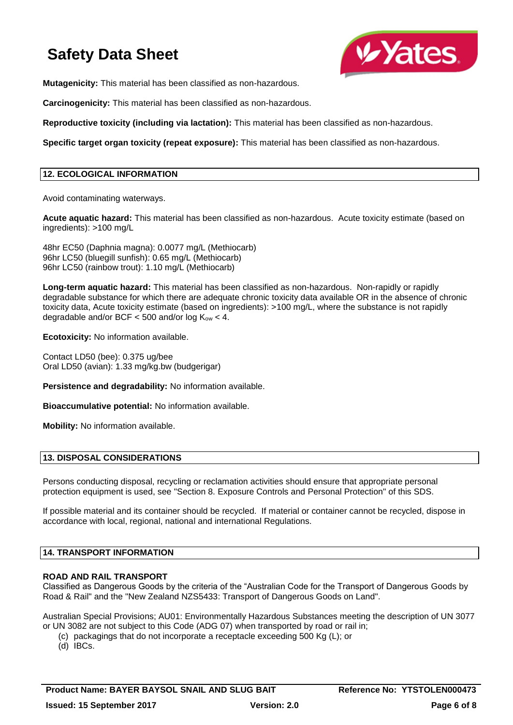

**Mutagenicity:** This material has been classified as non-hazardous.

**Carcinogenicity:** This material has been classified as non-hazardous.

**Reproductive toxicity (including via lactation):** This material has been classified as non-hazardous.

**Specific target organ toxicity (repeat exposure):** This material has been classified as non-hazardous.

### **12. ECOLOGICAL INFORMATION**

Avoid contaminating waterways.

**Acute aquatic hazard:** This material has been classified as non-hazardous. Acute toxicity estimate (based on ingredients): >100 mg/L

48hr EC50 (Daphnia magna): 0.0077 mg/L (Methiocarb) 96hr LC50 (bluegill sunfish): 0.65 mg/L (Methiocarb) 96hr LC50 (rainbow trout): 1.10 mg/L (Methiocarb)

**Long-term aquatic hazard:** This material has been classified as non-hazardous. Non-rapidly or rapidly degradable substance for which there are adequate chronic toxicity data available OR in the absence of chronic toxicity data, Acute toxicity estimate (based on ingredients): >100 mg/L, where the substance is not rapidly degradable and/or BCF  $<$  500 and/or log K<sub>ow</sub>  $<$  4.

**Ecotoxicity:** No information available.

Contact LD50 (bee): 0.375 ug/bee Oral LD50 (avian): 1.33 mg/kg.bw (budgerigar)

**Persistence and degradability:** No information available.

**Bioaccumulative potential:** No information available.

**Mobility:** No information available.

# **13. DISPOSAL CONSIDERATIONS**

Persons conducting disposal, recycling or reclamation activities should ensure that appropriate personal protection equipment is used, see "Section 8. Exposure Controls and Personal Protection" of this SDS.

If possible material and its container should be recycled. If material or container cannot be recycled, dispose in accordance with local, regional, national and international Regulations.

### **14. TRANSPORT INFORMATION**

#### **ROAD AND RAIL TRANSPORT**

Classified as Dangerous Goods by the criteria of the "Australian Code for the Transport of Dangerous Goods by Road & Rail" and the "New Zealand NZS5433: Transport of Dangerous Goods on Land".

Australian Special Provisions; AU01: Environmentally Hazardous Substances meeting the description of UN 3077 or UN 3082 are not subject to this Code (ADG 07) when transported by road or rail in;

(c) packagings that do not incorporate a receptacle exceeding 500 Kg (L); or

(d) IBCs.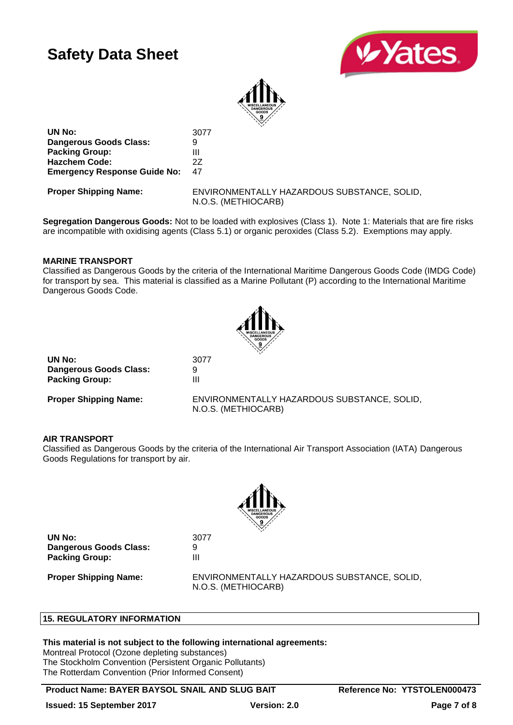



**UN No:** 3077 **Dangerous Goods Class:** 9 **Packing Group:** III **Hazchem Code:** 2Z **Emergency Response Guide No:** 47

**Proper Shipping Name:** ENVIRONMENTALLY HAZARDOUS SUBSTANCE, SOLID, N.O.S. (METHIOCARB)

**Segregation Dangerous Goods:** Not to be loaded with explosives (Class 1). Note 1: Materials that are fire risks are incompatible with oxidising agents (Class 5.1) or organic peroxides (Class 5.2). Exemptions may apply.

### **MARINE TRANSPORT**

Classified as Dangerous Goods by the criteria of the International Maritime Dangerous Goods Code (IMDG Code) for transport by sea. This material is classified as a Marine Pollutant (P) according to the International Maritime Dangerous Goods Code.



**UN No:** 3077 **Dangerous Goods Class:** 9 **Packing Group:** III

**Proper Shipping Name:** ENVIRONMENTALLY HAZARDOUS SUBSTANCE, SOLID, N.O.S. (METHIOCARB)

### **AIR TRANSPORT**

Classified as Dangerous Goods by the criteria of the International Air Transport Association (IATA) Dangerous Goods Regulations for transport by air.



**UN No:** 3077 **Dangerous Goods Class:** 9 **Packing Group:** III

**Proper Shipping Name:** ENVIRONMENTALLY HAZARDOUS SUBSTANCE, SOLID, N.O.S. (METHIOCARB)

### **15. REGULATORY INFORMATION**

#### **This material is not subject to the following international agreements:**

Montreal Protocol (Ozone depleting substances) The Stockholm Convention (Persistent Organic Pollutants) The Rotterdam Convention (Prior Informed Consent)

**Product Name: BAYER BAYSOL SNAIL AND SLUG BAIT Reference No: YTSTOLEN000473**